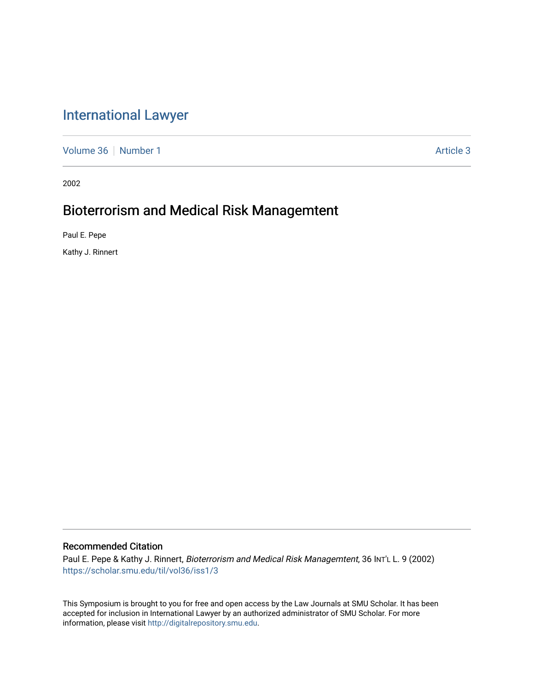# [International Lawyer](https://scholar.smu.edu/til)

[Volume 36](https://scholar.smu.edu/til/vol36) [Number 1](https://scholar.smu.edu/til/vol36/iss1) Article 3

2002

# Bioterrorism and Medical Risk Managemtent

Paul E. Pepe

Kathy J. Rinnert

# Recommended Citation

Paul E. Pepe & Kathy J. Rinnert, Bioterrorism and Medical Risk Managemtent, 36 INT'L L. 9 (2002) [https://scholar.smu.edu/til/vol36/iss1/3](https://scholar.smu.edu/til/vol36/iss1/3?utm_source=scholar.smu.edu%2Ftil%2Fvol36%2Fiss1%2F3&utm_medium=PDF&utm_campaign=PDFCoverPages)

This Symposium is brought to you for free and open access by the Law Journals at SMU Scholar. It has been accepted for inclusion in International Lawyer by an authorized administrator of SMU Scholar. For more information, please visit [http://digitalrepository.smu.edu](http://digitalrepository.smu.edu/).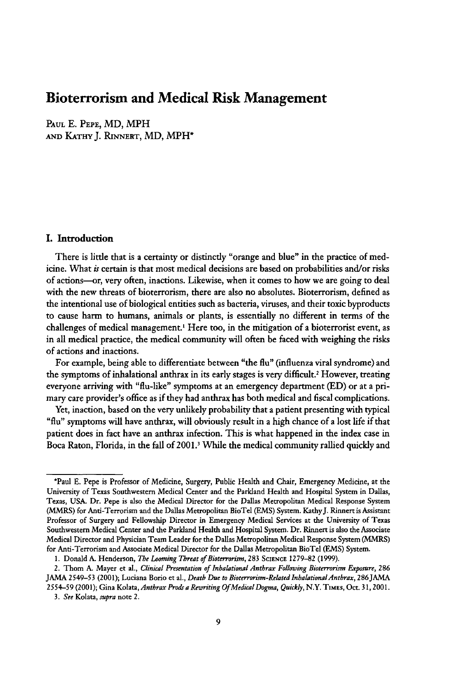## **Bioterrorism and Medical Risk Management**

**PAUL E.** PEPE, MD, MPH **AND KATHY** J. RINNERT, MD, MPH\*

#### **I.** Introduction

There is little that is a certainty or distinctly "orange and blue" in the practice of medicine. What is certain is that most medical decisions are based on probabilities and/or risks of actions-or, very often, inactions. Likewise, when it comes to how we are going to deal with the new threats of bioterrorism, there are also no absolutes. Bioterrorism, defined as the intentional use of biological entities such as bacteria, viruses, and their toxic byproducts to cause harm to humans, animals or plants, is essentially no different in terms of the challenges of medical management.<sup>1</sup> Here too, in the mitigation of a bioterrorist event, as in all medical practice, the medical community will often be faced with weighing the risks of actions and inactions.

For example, being able to differentiate between "the flu" (influenza viral syndrome) and the symptoms of inhalational anthrax in its early stages is very difficult.' However, treating everyone arriving with "flu-like" symptoms at an emergency department (ED) or at a primary care provider's office as if they had anthrax has both medical and fiscal complications.

Yet, inaction, based on the very unlikely probability that a patient presenting with typical "flu" symptoms will have anthrax, will obviously result in a high chance of a lost life if that patient does in fact have an anthrax infection. This is what happened in the index case in Boca Raton, Florida, in the fall of 2001.<sup>3</sup> While the medical community rallied quickly and

<sup>\*</sup>Paul **E.** Pepe is Professor of Medicine, Surgery, Public Health and Chair, Emergency Medicine, at the University of Texas Southwestern Medical Center and the Parkland Health and Hospital System in Dallas, Texas, USA. Dr. Pepe is also the Medical Director for the Dallas Metropolitan Medical Response System (MMRS) for Anti-Terrorism and the Dallas Metropolitan BioTel **(EMS)** System. KathyJ. Rinnert is Assistant Professor of Surgery and Fellowship Director in Emergency Medical Services at the University of Texas Southwestern Medical Center and the Parkland Health and Hospital System. Dr. Rinnert is also the Associate Medical Director and Physician Team Leader for the Dallas Metropolitan Medical Response System (MMRS) for Anti-Terrorism and Associate Medical Director for the Dallas Metropolitan BioTel (EMS) System.

<sup>1.</sup> Donald **A.** Henderson, *The Looming Threat of Bioterrorim,* **283** SCIENcE 1279-82 (1999).

<sup>2.</sup> Thom A. Mayer et al., *Clinical Presentation of Inhalational Anthrax Following Bioterrorirm Exposure,* **286** JAMA 2549-53 (2001); Luciana Borio et al., *Death Due to Bioterrorim-RelatedlnhalationalAnthrax,* 286JAMA 2554-59 (2001); Gina *Kolata,Anthrax Prodsa Rewriting Of Medical Dogma,* Quickly, N.Y. TIMES, Oct. **31, 2001.** *3. See* Kolata, *supra* note 2.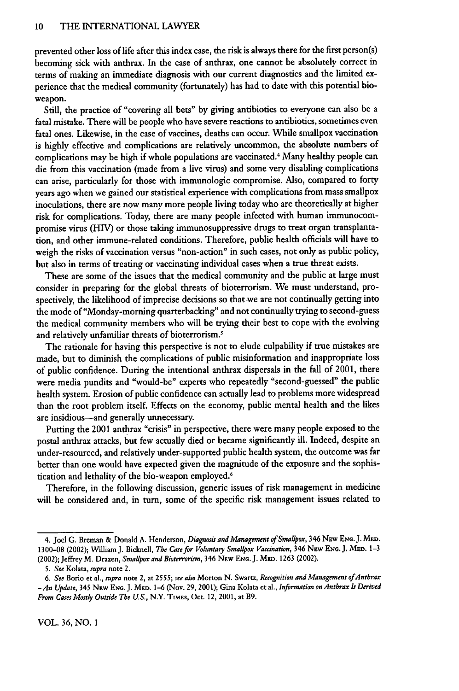#### 10 THE INTERNATIONAL LAWYER

prevented other loss of life after this index case, the risk is always there for the first person(s) becoming sick with anthrax. In the case of anthrax, one cannot be absolutely correct in terms of making an immediate diagnosis with our current diagnostics and the limited **ex**perience that the medical community (fortunately) has had to date with this potential bioweapon.

Still, the practice of "covering all bets" by giving antibiotics to everyone can also be a fatal mistake. There will be people who have severe reactions to antibiotics, sometimes even fatal ones. Likewise, in the case of vaccines, deaths can occur. While smallpox vaccination is **highly** effective and complications are relatively uncommon, the absolute numbers of complications may be high if whole populations are vaccinated.4 Many healthy people can die from this vaccination (made from a live virus) and some very disabling complications can arise, particularly for those with immunologic compromise. Also, compared to forty years ago when we gained our statistical experience with complications from mass smallpox inoculations, there are now many more people living today who are theoretically at higher risk for complications. Today, there are many people infected with human immunocompromise virus **(HV)** or those taking immunosuppressive drugs to treat organ transplantation, and other immune-related conditions. Therefore, public health officials will have to weigh the risks of vaccination versus "non-action" in such cases, not only as public policy, but also in terms of treating or vaccinating individual cases when a true threat exists.

These are some of the issues that the medical community and the public at large must consider in preparing for the global threats of bioterrorism. We must understand, prospectively, the likelihood of imprecise decisions so that we are not continually getting into the mode of "Monday-morning quarterbacking" and not continually trying to second-guess the medical community members who will be trying their best to cope with the evolving and relatively unfamiliar threats of bioterrorism.<sup>5</sup>

The rationale for having this perspective is not to elude culpability if true mistakes are made, but to diminish the complications of public misinformation and inappropriate loss of public confidence. During the intentional anthrax dispersals in the fall of 2001, there were media pundits and "would-be" experts who repeatedly "second-guessed" the public health system. Erosion of public confidence can actually lead to problems more widespread than the root problem itself. Effects on the economy, public mental health and the likes are insidious-and generally unnecessary.

Putting the 2001 anthrax "crisis" in perspective, there were many people exposed to the postal anthrax attacks, but few actually died or became significantly ill. Indeed, despite an under-resourced, and relatively under-supported public health system, the outcome was far better than one would have expected given the magnitude of the exposure and the sophistication and lethality of the bio-weapon employed.<sup>6</sup>

Therefore, in the following discussion, generic issues of risk management in medicine will be considered and, in turn, some of the specific risk management issues related to

<sup>4.</sup> Joel **G.** Breman & Donald **A.** Henderson, Diagnosis and Management of Smallpox, 346 NEw **ENG. J.** MED. 1300-08 (2002); William J. Bicknell, *The Case for Voluntary Smallpox Vaccination,* 346 NEw **ENG.** J. **MED.** 1-3 (2002); Jeffrey M. Drazen, *Smallpox and Bioterrorism,* 346 NEw **ENG.** J. MED. 1263 (2002).

*<sup>5.</sup> See* Kolata, *supra* note 2.

*<sup>6.</sup> See* Borio et al., *supra* note 2, at **2555;** *see also* Morton N. Swartz, *Recognition and Management ofAntbrax -An Update,* 345 **NEw ENG. J. MED.** 1-6 (Nov. 29, 2001); Gina Kolata et al., *Information on Anthrax Is Derived From Cases Mostly Outside The U.S.,* N.Y. **TMES,** Oct. *12,* 2001, at B9.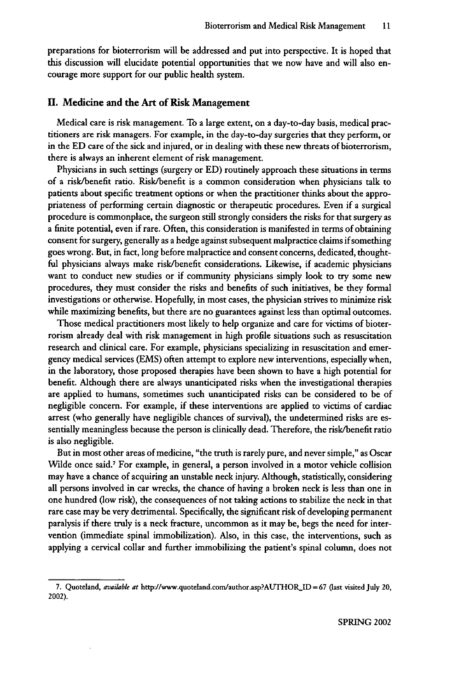preparations for bioterrorism will be addressed and put into perspective. It is hoped that this discussion will elucidate potential opportunities that we now have and will also encourage more support for our public health system.

#### **II. Medicine and the Art of Risk** Management

Medical care is risk management. To a large extent, on a day-to-day basis, medical practitioners are risk managers. For example, in the day-to-day surgeries that they perform, or in the **ED** care of the sick and injured, or in dealing with these new threats of bioterrorism, there is always an inherent element of risk management.

Physicians in such settings (surgery or **ED)** routinely approach these situations in terms of a risk/benefit ratio. Risk/benefit is a common consideration when physicians talk to patients about specific treatment options or when the practitioner thinks about the appropriateness of performing certain diagnostic or therapeutic procedures. Even if a surgical procedure is commonplace, the surgeon still strongly considers the risks for that surgery as a finite potential, even if rare. Often, this consideration is manifested in terms of obtaining consent for surgery, generally as a hedge against subsequent malpractice claims if something goes wrong. But, in fact, long before malpractice and consent concerns, dedicated, thoughtful physicians always make risk/benefit considerations. Likewise, if academic physicians want to conduct new studies or if community physicians simply look to try some new procedures, they must consider the risks and benefits of such initiatives, be they formal investigations or otherwise. Hopefully, in most cases, the physician strives to minimize risk while maximizing benefits, but there are no guarantees against less than optimal outcomes.

Those medical practitioners most likely to help organize and care for victims of bioterrorism already deal with risk management in high profile situations such as resuscitation research and clinical care. For example, physicians specializing in resuscitation and emergency medical services **(EMS)** often attempt to explore new interventions, especially when, in the laboratory, those proposed therapies have been shown to have a high potential for benefit. Although there are always unanticipated risks when the investigational therapies are applied to humans, sometimes such unanticipated risks can be considered to be of negligible concern. For example, if these interventions are applied to victims of cardiac arrest (who generally have negligible chances of survival), the undetermined risks are essentially meaningless because the person is clinically dead. Therefore, the risk/benefit ratio is also negligible.

But in most other areas of medicine, "the truth is rarely pure, and never simple," as Oscar Wilde once said.' For example, in general, a person involved in a motor vehicle collision may have a chance of acquiring an unstable neck injury. Although, statistically, considering all persons involved in car wrecks, the chance of having a broken neck is less than one in one hundred (low risk), the consequences of not taking actions to stabilize the neck in that rare case may be very detrimental. Specifically, the significant risk of developing permanent paralysis if there truly is a neck fracture, uncommon as it may be, begs the need for intervention (immediate spinal immobilization). Also, in this case, the interventions, such as applying a cervical collar and further immobilizing the patient's spinal column, does not

**<sup>7.</sup>** Quoteland, *available at* http://www.quoteland.com/author.asp?AUTHORID **=** 67 (last visited July 20, 2002).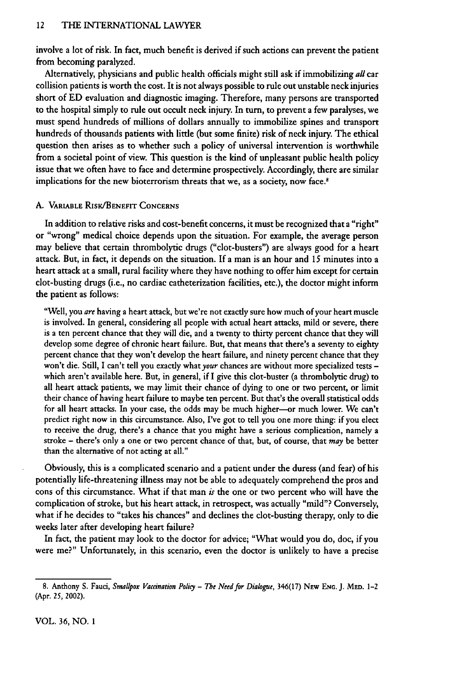involve a lot of risk. In fact, much benefit is derived if such actions can prevent the patient from becoming paralyzed.

Alternatively, physicians and public health officials might still ask if immobilizing *all* car collision patients is worth the cost. It is not always possible to rule out unstable neck injuries short of **ED** evaluation and diagnostic imaging. Therefore, many persons are transported to the hospital simply to rule out occult neck injury. In turn, to prevent a few paralyses, we must spend hundreds of millions of dollars annually to immobilize spines and transport hundreds of thousands patients with little (but some finite) risk of neck injury. The ethical question then arises as to whether such a policy of universal intervention is worthwhile from a societal point of view. This question is the kind of unpleasant public health policy issue that we often have to face and determine prospectively. Accordingly, there are similar implications for the new bioterrorism threats that we, as a society, now face.<sup>8</sup>

#### A. **VARUBLE** RIsK/BENEFIT **CONCERNS**

In addition to relative risks and cost-benefit concerns, it must be recognized that a "right" or "wrong" medical choice depends upon the situation. For example, the average person may believe that certain thrombolytic drugs ("clot-busters") are always good for a heart attack. But, in fact, it depends on the situation. If a man is an hour and 15 minutes into a heart attack at a small, rural facility where they have nothing to offer him except for certain clot-busting drugs (i.e., no cardiac catheterization facilities, etc.), the doctor might inform the patient as follows:

"Well, you *are* having a heart attack, but we're not exactly sure how much of your heart muscle is involved. In general, considering all people with actual heart attacks, mild or severe, there is a ten percent chance that they will die, and a twenty to thirty percent chance that they will develop some degree of chronic heart failure. But, that means that there's a seventy to eighty percent chance that they won't develop the heart failure, and ninety percent chance that they won't die. Still, I can't tell you exactly what your chances are without more specialized tests which aren't available here. But, in general, if I give this clot-buster (a thrombolytic drug) to all heart attack patients, we may limit their chance of dying to one or two percent, or limit their chance of having heart failure to maybe ten percent. But that's the overall statistical odds for all heart attacks. In your case, the odds may be much higher-or much lower. We can't predict right now in this circumstance. Also, I've got to tell you one more thing: if you elect to receive the drug, there's a chance that you might have a serious complication, namely a stroke - there's only a one or two percent chance of that, but, of course, that *may* be better than the alternative of not acting at all."

Obviously, this is a complicated scenario and a patient under the duress (and fear) of his potentially life-threatening illness may not be able to adequately comprehend the pros and cons of this circumstance. What if that man *is* the one or two percent who will have the complication of stroke, but his heart attack, in retrospect, was actually "mild"? Conversely, what if he decides to "takes his chances" and declines the clot-busting therapy, only to die weeks later after developing heart failure?

In fact, the patient may look to the doctor for advice; "What would you do, doc, if you were me?" Unfortunately, in this scenario, even the doctor is unlikely to have a precise

**<sup>8.</sup>** Anthony S. Fauci, *Smallpox Vaccination Policy* **-** *The Need for Dialogue,* 346(17) NEw **ENG. J.** MED. 1-2 (Apr. *25,* 2002).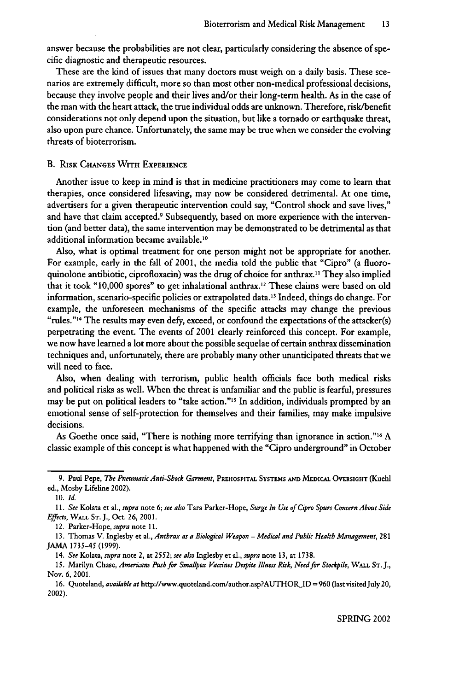answer because the probabilities are not clear, particularly considering the absence of specific diagnostic and therapeutic resources.

These are the kind of issues that many doctors must weigh on a daily basis. These scenarios are extremely difficult, more so than most other non-medical professional decisions, because they involve people and their lives and/or their long-term health. As in the case of the man with the heart attack, the true individual odds are unknown. Therefore, risk/benefit considerations not only depend upon the situation, but like a tornado or earthquake threat, also upon pure chance. Unfortunately, the same may be true when we consider the evolving threats of bioterrorism.

#### B. RISK **CHANGES WITH** EXPERIENCE

Another issue to keep in mind is that in medicine practitioners may come to learn that therapies, once considered lifesaving, may now be considered detrimental. At one time, advertisers for a given therapeutic intervention could say, "Control shock and save lives," and have that claim accepted.<sup>9</sup> Subsequently, based on more experience with the intervention (and better data), the same intervention may be demonstrated to be detrimental as that additional information became available.1'

Also, what is optimal treatment for one person might not be appropriate for another. For example, early in the fall of 2001, the media told the public that "Cipro" (a fluoroquinolone antibiotic, ciprofloxacin) was the drug of choice for anthrax." They also implied that it took "10,000 spores" to get inhalational anthrax.<sup>1</sup> " These claims were based on old information, scenario-specific policies or extrapolated data. 3 Indeed, things do change. For example, the unforeseen mechanisms of the specific attacks may change the previous "rules."<sup>14</sup> The results may even defy, exceed, or confound the expectations of the attacker(s) perpetrating the event. The events of 2001 clearly reinforced this concept. For example, we now have learned a lot more about the possible sequelae of certain anthrax dissemination techniques and, unfortunately, there are probably many other unanticipated threats that we will need to face.

Also, when dealing with terrorism, public health officials face both medical risks and political risks as well. When the threat is unfamiliar and the public is fearful, pressures may be put on political leaders to "take action." In addition, individuals prompted **by** an emotional sense of self-protection for themselves and their families, may make impulsive decisions.

As Goethe once said, "There is nothing more terrifying than ignorance in action."<sup>16</sup> A classic example of this concept is what happened with the "Cipro underground" in October

<sup>9.</sup> Paul **Pepe,** *The Pneumatic Anti-Shock Garment,* PREHOSPITAL **SYSTEMS AND** MEDICAL OvERsIGHT (Kuehl ed., Mosby Lifeline 2002).

**<sup>10.</sup>** *Id.*

*<sup>11.</sup> See* Kolata et al., *supra* **note 6;** *see also* Tara Parker-Hope, *Surge In Use of Cipro Spurs Concern About Side Effects,* WALL **ST. J.,** Oct. **26, 2001.**

<sup>12.</sup> Parker-Hope, *supra* **note 11.**

**<sup>13.</sup>** Thomas V. Inglesby et al., *Anthrax as a Biological Weapon* - *Medical and Public Health Management,* **281** JAMA 1735-45 (1999).

<sup>14.</sup> *See* Kolata, *supra* note 2, at 2552; *see also* Inglesby et al., *supra* note **13,** at **1738.**

**<sup>15.</sup>** Marilyn Chase, *Americans Push fbr Smallpox Vaccines Despite Illness Risk, Need for Stockpile,* WALL **ST. J.,** Nov. **6,** 2001.

<sup>16.</sup> Quoteland, *available at* http://www.quoteland.com/author.asp?AUTHOR\_ID **= 960** (last visitedJuly **20,** 2002).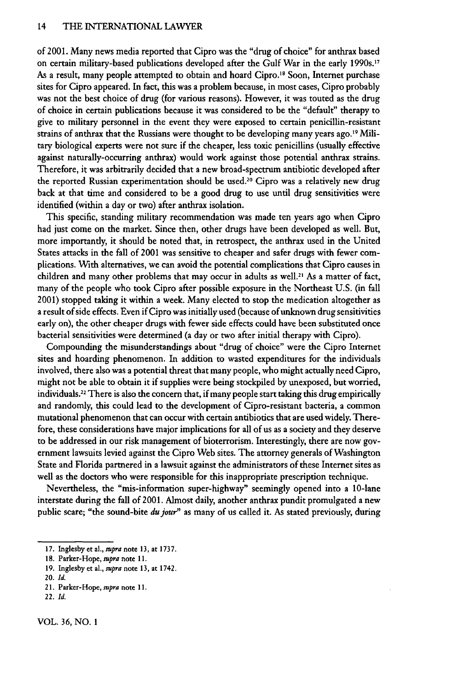of 2001. Many news media reported that Cipro was the "drug of choice" for anthrax based on certain military-based publications developed after the Gulf War in the early 1990s.17 As a result, many people attempted to obtain and hoard Cipro.'8 Soon, Internet purchase sites for Cipro appeared. In fact, this was a problem because, in most cases, Cipro probably was not the best choice of drug (for various reasons). However, it was touted as the drug of choice in certain publications because it was considered to be the "default" therapy to give to military personnel in the event they were exposed to certain penicillin-resistant strains of anthrax that the Russians were thought to be developing many years ago.<sup>19</sup> Military biological experts were not sure if the cheaper, less toxic penicillins (usually effective against naturally-occurring anthrax) would work against those potential anthrax strains. Therefore, it was arbitrarily decided that a new broad-spectrum antibiotic developed after the reported Russian experimentation should be used.<sup>20</sup> Cipro was a relatively new drug back at that time and considered to be a good drug to use until drug sensitivities were identified (within a day or two) after anthrax isolation.

This specific, standing military recommendation was made ten years ago when Cipro had just come on the market. Since then, other drugs have been developed as well. But, more importantly, it should be noted that, in retrospect, the anthrax used in the United States attacks in the fall of 2001 was sensitive to cheaper and safer drugs with fewer complications. With alternatives, we can avoid the potential complications that Cipro causes in children and many other problems that may occur in adults as well.<sup>21</sup> As a matter of fact many of the people who took Cipro after possible exposure in the Northeast U.S. (in fall 2001) stopped taking it within a week. Many elected to stop the medication altogether as a result of side effects. Even if Cipro was initially used (because of unknown drug sensitivities early on), the other cheaper drugs with fewer side effects could have been substituted once bacterial sensitivities were determined (a day or two after initial therapy with Cipro).

Compounding the misunderstandings about "drug of choice" were the Cipro Internet sites and hoarding phenomenon. In addition to wasted expenditures for the individuals involved, there also was a potential threat that many people, who might actually need Cipro, might not be able to obtain it if supplies were being stockpiled by unexposed, but worried, individuals.<sup>22</sup> There is also the concern that, if many people start taking this drug empirically and randomly, this could lead to the development of Cipro-resistant bacteria, a common mutational phenomenon that can occur with certain antibiotics that are used widely. Therefore, these considerations have major implications for all of us as a society and they deserve to be addressed in our risk management of bioterrorism. Interestingly, there are now government lawsuits levied against the Cipro Web sites. The attorney generals of Washington State and Florida partnered in a lawsuit against the administrators of these Internet sites as well as the doctors who were responsible for this inappropriate prescription technique.

Nevertheless, the "mis-information super-highway" seemingly opened into a 10-lane interstate during the fall of 2001. Almost daily, another anthrax pundit promulgated a new public scare; "the sound-bite du jour" as many of us called it. As stated previously, during

21. Parker-Hope, supra note 11.

VOL. **36,** NO. 1

<sup>17.</sup> Inglesby et al., *supra* note 13, at 1737.

<sup>18.</sup> Parker-Hope, supra note 11.

<sup>19.</sup> Inglesby et al., *supra* note 13, at 1742.

<sup>20.</sup> *Id.*

<sup>22.</sup> *Id.*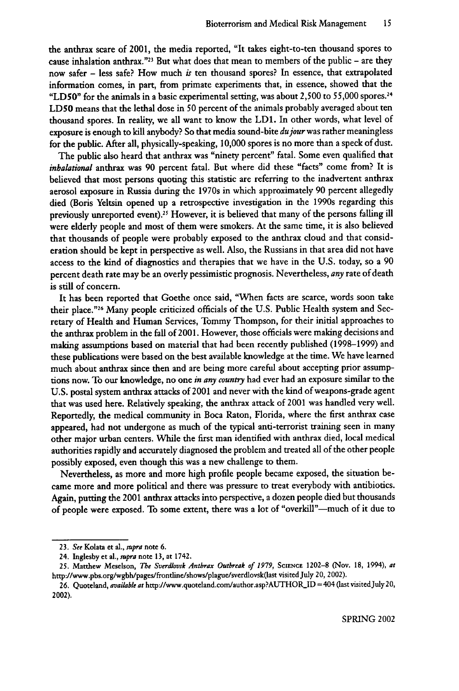the anthrax scare of 2001, the media reported, "It takes eight-to-ten thousand spores to cause inhalation anthrax."<sup>23</sup> But what does that mean to members of the public – are they now safer - less safe? How much *is* ten thousand spores? In essence, that extrapolated information comes, in part, from primate experiments that, in essence, showed that the "LD50" for the animals in a basic experimental setting, was about 2,500 to 55,000 spores.<sup>24</sup> **LDS0** means that the lethal dose in 50 percent of the animals probably averaged about ten thousand spores. In reality, we all want to know the LD1. In other words, what level of exposure is enough to kill anybody? So that media sound-bite *dujour* was rather meaningless for the public. After all, physically-speaking, 10,000 spores is no more than a speck of dust.

The public also heard that anthrax was "ninety percent" fatal. Some even qualified that *inbalational* anthrax was 90 percent fatal. But where did these "facts" come from? It is believed that most persons quoting this statistic are referring to the inadvertent anthrax aerosol exposure in Russia during the 1970s in which approximately 90 percent allegedly died (Boris Yeltsin opened up a retrospective investigation in the 1990s regarding this previously unreported event).<sup>25</sup> However, it is believed that many of the persons falling il were elderly people and most of them were smokers. At the same time, it is also believed that thousands of people were probably exposed to the anthrax cloud and that consideration should be kept in perspective as well. Also, the Russians in that area did not have access to the kind of diagnostics and therapies that we have in the U.S. today, so a 90 percent death rate may be an overly pessimistic prognosis. Nevertheless, *any* rate of death is still of concern.

It has been reported that Goethe once said, "When facts are scarce, words soon take their place."<sup>26</sup> Many people criticized officials of the U.S. Public Health system and Secretary of Health and Human Services, Tommy Thompson, for their initial approaches to the anthrax problem in the fall of 2001. However, those officials were making decisions and making assumptions based on material that had been recently published (1998-1999) and these publications were based on the best available knowledge at the time. We have learned much about anthrax since then and are being more careful about accepting prior assumptions now. To our knowledge, no one *in any country* had ever had an exposure similar to the U.S. postal system anthrax attacks of 2001 and never with the kind of weapons-grade agent that was used here. Relatively speaking, the anthrax attack of 2001 was handled very well. Reportedly, the medical community in Boca Raton, Florida, where the first anthrax case appeared, had not undergone as much of the typical anti-terrorist training seen in many other major urban centers. While the first man identified with anthrax died, local medical authorities rapidly and accurately diagnosed the problem and treated all of the other people possibly exposed, even though this was a new challenge to them.

Nevertheless, as more and more high profile people became exposed, the situation became more and more political and there was pressure to treat everybody with antibiotics. Again, putting the 2001 anthrax attacks into perspective, a dozen people died but thousands of people were exposed. To some extent, there was a lot of "overkill"-much of it due to

**<sup>23.</sup>** *See* Kolata et al., *supra* note 6.

<sup>24.</sup> Inglesby et al., supra note **13,** at 1742.

<sup>25.</sup> Matthew Meselson, *The Sverdlovsk Anthrax Outbreak of 1979,* **SCiENcE** 1202-8 (Nov. 18, 1994), *at* http.J/www.pbs.org/wgbh/pages/frontline/shows/plague/sverdlovsk(last visited July 20, 2002).

<sup>26.</sup> Quoteland, available at http://www.quoteland.com/author.asp?AUTHOR\_ID = 404 (last visited July 20, 2002).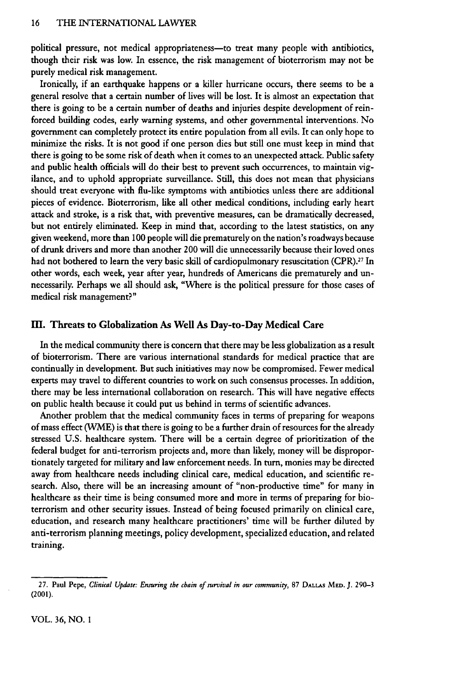political pressure, not medical appropriateness- to treat many people with antibiotics, though their risk was low. In essence, the risk management of bioterrorism may not be purely medical risk management.

Ironically, if an earthquake happens or a killer hurricane occurs, there seems to be a general resolve that a certain number of lives will be lost. It is almost an expectation that there is going to be a certain number of deaths and injuries despite development of reinforced building codes, early warning systems, and other governmental interventions. No government can completely protect its entire population from all evils. It can only hope to minimize the risks. It is not good if one person dies but still one must keep in mind that there is going to **be** some risk of death when it comes to an unexpected attack. Public safety and public health officials will do their best to prevent such occurrences, to maintain vigilance, and to uphold appropriate surveillance. Still, this does not mean that physicians should treat everyone with flu-like symptoms with antibiotics unless there are additional pieces of evidence. Bioterrorism, like all other medical conditions, including early heart attack and stroke, is a risk that, with preventive measures, can be dramatically decreased, but not entirely eliminated. Keep in mind that, according to the latest statistics, on any given weekend, more than **100** people will die prematurely on the nation's roadways because of drunk drivers and more than another 200 will die unnecessarily because their loved ones had not bothered to learn the very basic skill of cardiopulmonary resuscitation (CPR).<sup>27</sup> In other words, each week, year after year, hundreds of Americans die prematurely and unnecessarily. Perhaps we all should ask, "Where is the political pressure for those cases of medical risk management?"

#### M. **Threats** to Globalization As Well As Day-to-Day Medical Care

In the medical community there is concern that there may be less globalization as a result of bioterrorism. There are various international standards for medical practice that are continually in development. But such initiatives may now be compromised. Fewer medical experts may travel to different countries to work on such consensus processes. In addition, there may be less international collaboration on research. This will have negative effects on public health because it could put us behind in terms of scientific advances.

Another problem that the medical community faces in terms of preparing for weapons of mass effect (WME) is that there is going to be a further drain of resources for the already stressed **U.S.** healthcare system. There will be a certain degree of prioritization of the federal budget for anti-terrorism projects and, more than likely, money will be disproportionately targeted for military and law enforcement needs. In turn, monies may be directed away from healthcare needs including clinical care, medical education, and scientific research. Also, there will be an increasing amount of "non-productive time" for many in healthcare as their time is being consumed more and more in terms of preparing for bioterrorism and other security issues. Instead of being focused primarily on clinical care, education, and research many healthcare practitioners' time will **be** further diluted **by** anti-terrorism planning meetings, policy development, specialized education, and related training.

VOL. 36, NO. I

**<sup>27.</sup>** Paul Pepe, *Clinical Update: Ensuring the chain* of *survival in our community, 87* **DALLAS** MED. **J.** 290-3 (2001).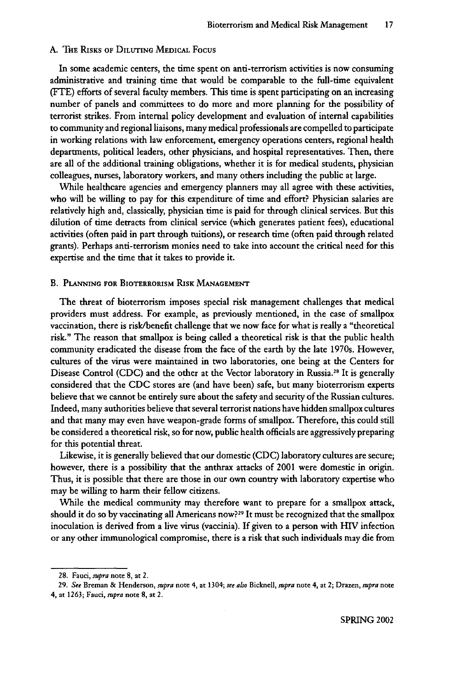#### A. THE RISKS OF DILUTING MEDICAL FOCUS

In some academic centers, the time spent on anti-terrorism activities is now consuming administrative and training time that would be comparable to the full-time equivalent (FTE) efforts of several faculty members. This time is spent participating on an increasing number of panels and committees to do more and more planning for the possibility of terrorist strikes. From internal policy development and evaluation of internal capabilities to community and regional liaisons, many medical professionals are compelled to participate in working relations with law enforcement, emergency operations centers, regional health departments, political leaders, other physicians, and hospital representatives. Then, there are all of the additional training obligations, whether it is for medical students, physician colleagues, nurses, laboratory workers, and many others including the public at large.

While healthcare agencies and emergency planners may all agree with these activities, who will be willing to pay for this expenditure of time and effort? Physician salaries are relatively high and, classically, physician time is paid for through clinical services. But this dilution of time detracts from clinical service (which generates patient fees), educational activities (often paid in part through tuitions), or research time (often paid through related grants). Perhaps anti-terrorism monies need to take into account the critical need for this expertise and the time that it takes to provide **it.**

#### B. PLANNING FOR BIOTERRORISM RISK **MANAGEMENT**

The threat of bioterrorism imposes special risk management challenges that medical providers must address. For example, as previously mentioned, in the case of smallpox vaccination, there is risk/benefit challenge that we now face for what is really a "theoretical risk." The reason that smallpox is being called a theoretical risk is that the public health community eradicated the disease from the face of the earth by the late 1970s. However, cultures of the virus were maintained in two laboratories, one being at the Centers for Disease Control (CDC) and the other at the Vector laboratory in Russia.<sup>28</sup> It is generally considered that the CDC stores are (and have been) safe, but many bioterrorism experts believe that we cannot be entirely sure about the safety and security of the Russian cultures. Indeed, many authorities believe that several terrorist nations have hidden smallpox cultures and that many may even have weapon-grade forms of smallpox. Therefore, this could still be considered a theoretical risk, so for now, public health officials are aggressively preparing for this potential threat.

Likewise, it is generally believed that our domestic (CDC) laboratory cultures are secure; however, there is a possibility that the anthrax attacks of 2001 were domestic in origin. Thus, it is possible that there are those in our own country with laboratory expertise who may be willing to harm their fellow citizens.

While the medical community may therefore want to prepare for a smallpox attack, should it do so **by** vaccinating all Americans now? **29** It must be recognized that the smallpox inoculation is derived from a live virus (vaccinia). If given to a person with **IV** infection or any other immunological compromise, there is a risk that such individuals may die from

<sup>28.</sup> Fauci, *supra* note 8, at 2.

<sup>29.</sup> *See* Breman & Henderson, *supra* note 4, at 1304; *see also* Bicknell, supra note 4, at 2; Drazen, *supra* note 4, at 1263; Fauci, *supra* note 8, at 2.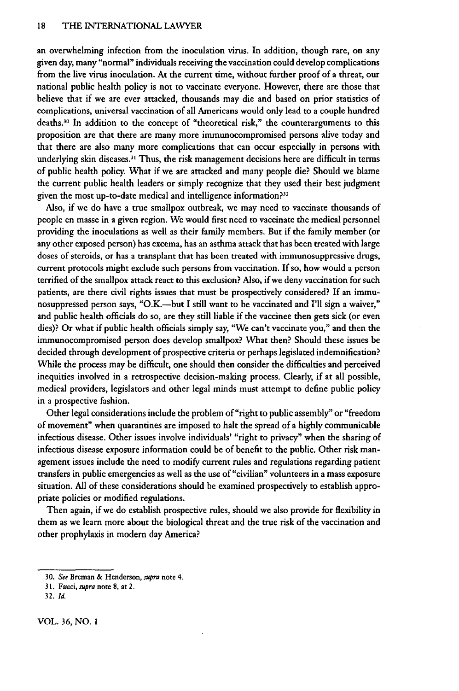an overwhelming infection from the inoculation virus. In addition, though rare, on any given day, many "normal" individuals receiving the vaccination could develop complications from the live virus inoculation. At the current time, without further proof of a threat, our national public health policy is not to vaccinate everyone. However, there are those that believe that if we are ever attacked, thousands may die and based on prior statistics of complications, universal vaccination of all Americans would only lead to a couple hundred deaths.<sup>30</sup> In addition to the concept of "theoretical risk," the counterarguments to this proposition are that there are many more immunocompromised persons alive today and that there are also many more complications that can occur especially in persons with underlying skin diseases.<sup>31</sup> Thus, the risk management decisions here are difficult in terms of public health policy. What if we are attacked and many people die? Should we blame the current public health leaders or simply recognize that they used their best judgment given the most up-to-date medical and intelligence information?<sup>32</sup>

Also, if we do have a true smallpox outbreak, we may need to vaccinate thousands of people en masse in a given region. We would first need to vaccinate the medical personnel providing the inoculations as well as their family members. But if the family member (or any other exposed person) has excema, has an asthma attack that has been treated with large doses of steroids, or has a transplant that has been treated with immunosuppressive drugs, current protocols might exclude such persons from vaccination. If so, how would a person terrified of the smallpox attack react to this exclusion? Also, if we deny vaccination for such patients, are there civil rights issues that must be prospectively considered? If an immunosuppressed person says, "O.K.--but I still want to be vaccinated and I'll sign a waiver," and public health officials do so, are they still liable if the vaccinee then gets sick (or even dies)? Or what if public health officials simply say, "We can't vaccinate you," and then the immunocompromised person does develop smallpox? What then? Should these issues be decided through development of prospective criteria or perhaps legislated indemnification? While the process may be difficult, one should then consider the difficulties and perceived inequities involved in a retrospective decision-making process. Clearly, if at all possible, medical providers, legislators and other legal minds must attempt to define public policy in a prospective fashion.

Other legal considerations include the problem of "right to public assembly" or "freedom of movement" when quarantines are imposed to halt the spread of a highly communicable infectious disease. Other issues involve individuals' "right to privacy" when the sharing of infectious disease exposure information could be of benefit to the public. Other risk management issues include the need to modify current rules and regulations regarding patient transfers in public emergencies as well as the use of "civilian" volunteers in a mass exposure situation. **All** of these considerations should be examined prospectively to establish appropriate policies or modified regulations.

Then again, if we do establish prospective rules, should we also provide for flexibility in them as we learn more about the biological threat and the true risk of the vaccination and other prophylaxis in modern day America?

VOL. 36, NO. *I*

**<sup>30.</sup>** *See* Breman **& Henderson,** *supra* note **4.**

**<sup>3</sup> 1.** Fauci, *supra* note **8,** at **2.**

**<sup>32.</sup>** *Id.*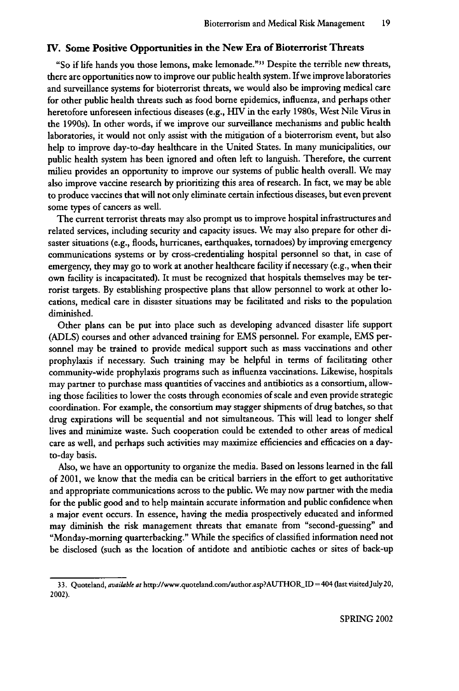### **IV. Some Positive Opportunities in the New Era of Bioterrorist Threats**

"So if life hands you those lemons, make lemonade."" Despite the terrible **new** threats, there are opportunities now to improve our public health system. **If** we improve laboratories and surveillance systems for bioterrorist threats, we would also be improving medical care for other public health threats such as food borne epidemics, influenza, and perhaps other heretofore unforeseen infectious diseases (e.g., **HIV** in the early 1980s, West Nile Virus in the 1990s). In other words, if we improve our surveillance mechanisms and public health laboratories, it would not only assist with the mitigation of a bioterrorism event, but also help to improve day-to-day healthcare in the United States. In many municipalities, our public health system has been ignored and often left to languish. Therefore, the current milieu provides an opportunity to improve our systems of public health overall. We may also improve vaccine research **by** prioritizing this area of research. In fact, we may be able to produce vaccines that will not only eliminate certain infectious diseases, but even prevent some types of cancers as well.

The current terrorist threats may also prompt us to improve hospital infrastructures and related services, including security and capacity issues. We may also prepare for other disaster situations (e.g., floods, hurricanes, earthquakes, tornadoes) **by** improving emergency communications systems or **by** cross-credentialing hospital personnel so that, in case of emergency, they may go to work at another healthcare facility if necessary (e.g., when their own facility is incapacitated). It must be recognized that hospitals themselves may be terrorist targets. **By** establishing prospective plans that allow personnel to work at other locations, medical care in disaster situations may be facilitated and risks to the population diminished.

Other plans can be put into place such as developing advanced disaster life support **(ADLS)** courses and other advanced training for **EMS** personnel. For example, **EMS** personnel may be trained to provide medical support such as mass vaccinations and other prophylaxis if necessary. Such training may be helpful in terms of facilitating other community-wide prophylaxis programs such as influenza vaccinations. Likewise, hospitals may partner to purchase mass quantities of vaccines and antibiotics as a consortium, allowing those facilities to lower the costs through economies of scale and even provide strategic coordination. For example, the consortium may stagger shipments of drug batches, so that drug expirations will be sequential and not simultaneous. This will lead to longer shelf lives and minimize waste. Such cooperation could be extended to other areas of medical care as well, and perhaps such activities may maximize efficiencies and efficacies on a dayto-day basis.

Also, we have an opportunity to organize the media. Based on lessons learned in the fall of 2001, we know that the media can be critical barriers in the effort to get authoritative and appropriate communications across to the public. We may now partner with the media for the public good and to help maintain accurate information and public confidence when a major event occurs. In essence, having the media prospectively educated and informed may diminish the risk management threats that emanate from "second-guessing" and "Monday-morning quarterbacking." While the specifics of classified information need not be disclosed (such as the location of antidote and antibiotic caches or sites of back-up

<sup>33.</sup> Quoteland, available *at* http://www.quoteland.com/author.aspAUTHOR.ID *=404* (ast visitedJuly20, 2002).